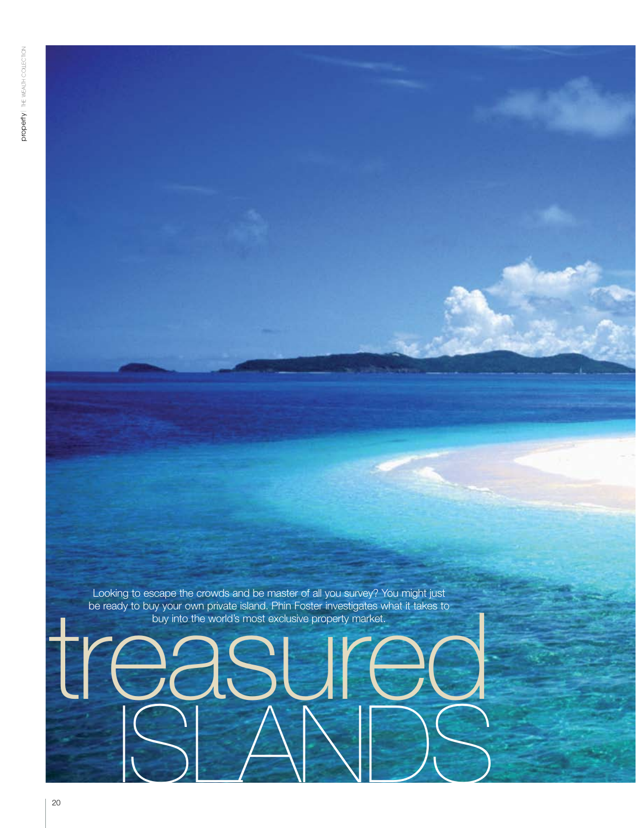Looking to escape the crowds and be master of all you survey? You might just be ready to buy your own private island. Phin Foster investigates what it takes to buy into the world's most exclusive property market.

islands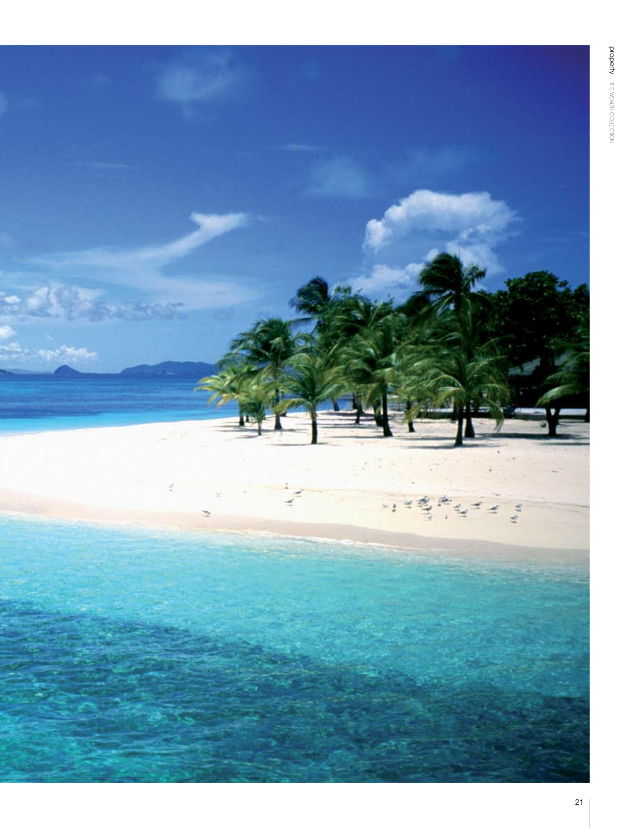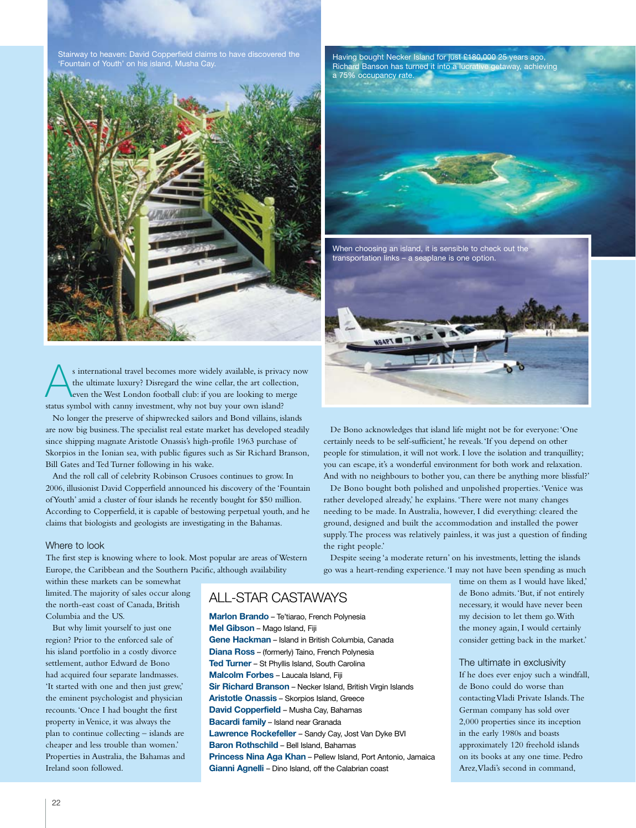Stairway to heaven: David Copperfield claims to have discovered the 'Fountain of Youth' on his island, Musha Cay.



s international travel becomes more widely available, is privacy now the ultimate luxury? Disregard the wine cellar, the art collection, even the West London football club: if you are looking to merge status symbol with canny investment, why not buy your own island?

No longer the preserve of shipwrecked sailors and Bond villains, islands are now big business. The specialist real estate market has developed steadily since shipping magnate Aristotle Onassis's high-profile 1963 purchase of Skorpios in the Ionian sea, with public figures such as Sir Richard Branson, Bill Gates and Ted Turner following in his wake.

And the roll call of celebrity Robinson Crusoes continues to grow. In 2006, illusionist David Copperfield announced his discovery of the 'Fountain of Youth' amid a cluster of four islands he recently bought for \$50 million. According to Copperfield, it is capable of bestowing perpetual youth, and he claims that biologists and geologists are investigating in the Bahamas.

## Where to look

The first step is knowing where to look. Most popular are areas of Western Europe, the Caribbean and the Southern Pacific, although availability

within these markets can be somewhat limited. The majority of sales occur along the north-east coast of Canada, British Columbia and the US.

But why limit yourself to just one region? Prior to the enforced sale of his island portfolio in a costly divorce settlement, author Edward de Bono had acquired four separate landmasses. 'It started with one and then just grew,' the eminent psychologist and physician recounts. 'Once I had bought the first property in Venice, it was always the plan to continue collecting – islands are cheaper and less trouble than women.' Properties in Australia, the Bahamas and Ireland soon followed.



When choosing an island, it is sensible to check out the transportation links – a seaplane is one option.



De Bono acknowledges that island life might not be for everyone: 'One certainly needs to be self-sufficient,' he reveals. 'If you depend on other people for stimulation, it will not work. I love the isolation and tranquillity; you can escape, it's a wonderful environment for both work and relaxation. And with no neighbours to bother you, can there be anything more blissful?'

De Bono bought both polished and unpolished properties. 'Venice was rather developed already,' he explains. 'There were not many changes needing to be made. In Australia, however, I did everything: cleared the ground, designed and built the accommodation and installed the power supply. The process was relatively painless, it was just a question of finding the right people.'

Despite seeing 'a moderate return' on his investments, letting the islands go was a heart-rending experience. 'I may not have been spending as much

All-star castaways

**Marlon Brando** – Te'tiarao, French Polynesia **Mel Gibson** – Mago Island, Fiji **Gene Hackman** – Island in British Columbia, Canada **Diana Ross** – (formerly) Taino, French Polynesia **Ted Turner** – St Phyllis Island, South Carolina **Malcolm Forbes** – Laucala Island, Fiji **Sir Richard Branson** – Necker Island, British Virgin Islands **Aristotle Onassis** – Skorpios Island, Greece **David Copperfield** – Musha Cay, Bahamas **Bacardi family** – Island near Granada **Lawrence Rockefeller** – Sandy Cay, Jost Van Dyke BVI **Baron Rothschild** – Bell Island, Bahamas **Princess Nina Aga Khan** – Pellew Island, Port Antonio, Jamaica **Gianni Agnelli** – Dino Island, off the Calabrian coast

time on them as I would have liked,' de Bono admits. 'But, if not entirely necessary, it would have never been my decision to let them go. With the money again, I would certainly consider getting back in the market.'

The ultimate in exclusivity If he does ever enjoy such a windfall, de Bono could do worse than contacting Vladi Private Islands. The German company has sold over 2,000 properties since its inception in the early 1980s and boasts approximately 120 freehold islands on its books at any one time. Pedro Arez, Vladi's second in command,